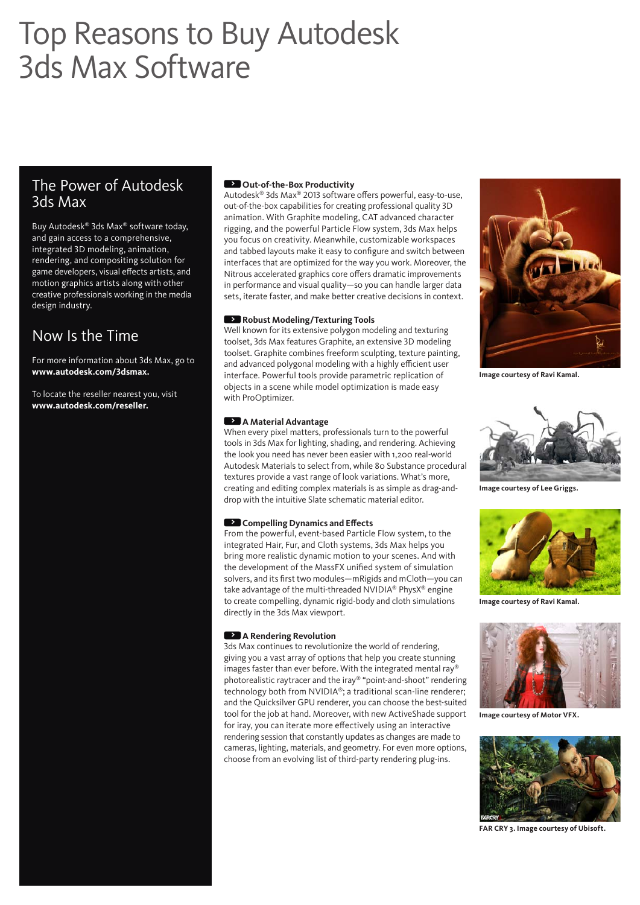# Top Reasons to Buy Autodesk 3ds Max Software

# The Power of Autodesk 3ds Max

Buy Autodesk® 3ds Max® software today, and gain access to a comprehensive, integrated 3D modeling, animation, rendering, and compositing solution for game developers, visual effects artists, and motion graphics artists along with other creative professionals working in the media design industry.

# Now Is the Time

For more information about 3ds Max, go to **www.autodesk.com/3dsmax.** 

To locate the reseller nearest you, visit **www.autodesk.com/reseller.**

## **> Out-of-the-Box Productivity**

Autodesk® 3ds Max® 2013 software offers powerful, easy-to-use, out-of-the-box capabilities for creating professional quality 3D animation. With Graphite modeling, CAT advanced character rigging, and the powerful Particle Flow system, 3ds Max helps you focus on creativity. Meanwhile, customizable workspaces and tabbed layouts make it easy to configure and switch between interfaces that are optimized for the way you work. Moreover, the Nitrous accelerated graphics core offers dramatic improvements in performance and visual quality—so you can handle larger data sets, iterate faster, and make better creative decisions in context.

### **> Robust Modeling/Texturing Tools**

Well known for its extensive polygon modeling and texturing toolset, 3ds Max features Graphite, an extensive 3D modeling toolset. Graphite combines freeform sculpting, texture painting, and advanced polygonal modeling with a highly efficient user interface. Powerful tools provide parametric replication of objects in a scene while model optimization is made easy with ProOptimizer.

#### **> A Material Advantage**

When every pixel matters, professionals turn to the powerful tools in 3ds Max for lighting, shading, and rendering. Achieving the look you need has never been easier with 1,200 real-world Autodesk Materials to select from, while 80 Substance procedural textures provide a vast range of look variations. What's more, creating and editing complex materials is as simple as drag-anddrop with the intuitive Slate schematic material editor.

#### **•• Compelling Dynamics and Effects**

From the powerful, event-based Particle Flow system, to the integrated Hair, Fur, and Cloth systems, 3ds Max helps you bring more realistic dynamic motion to your scenes. And with the development of the MassFX unified system of simulation solvers, and its first two modules—mRigids and mCloth—you can take advantage of the multi-threaded NVIDIA® PhysX® engine to create compelling, dynamic rigid-body and cloth simulations directly in the 3ds Max viewport.

#### **> A Rendering Revolution**

3ds Max continues to revolutionize the world of rendering, giving you a vast array of options that help you create stunning images faster than ever before. With the integrated mental ray® photorealistic raytracer and the iray® "point-and-shoot" rendering technology both from NVIDIA®; a traditional scan-line renderer; and the Quicksilver GPU renderer, you can choose the best-suited tool for the job at hand. Moreover, with new ActiveShade support for iray, you can iterate more effectively using an interactive rendering session that constantly updates as changes are made to cameras, lighting, materials, and geometry. For even more options, choose from an evolving list of third-party rendering plug-ins.



**Image courtesy of Ravi Kamal.**



**Image courtesy of Lee Griggs.**



**Image courtesy of Ravi Kamal.**



**Image courtesy of Motor VFX.**



**FAR CRY 3. Image courtesy of Ubisoft.**